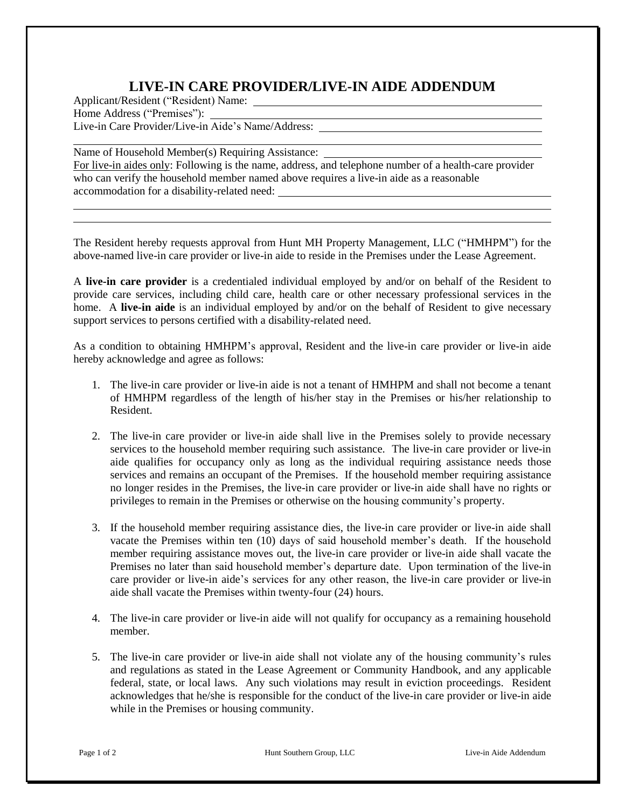## **LIVE-IN CARE PROVIDER/LIVE-IN AIDE ADDENDUM**

Applicant/Resident ("Resident) Name: Home Address ("Premises"): Live-in Care Provider/Live-in Aide's Name/Address:

Name of Household Member(s) Requiring Assistance: For live-in aides only: Following is the name, address, and telephone number of a health-care provider who can verify the household member named above requires a live-in aide as a reasonable accommodation for a disability-related need:

The Resident hereby requests approval from Hunt MH Property Management, LLC ("HMHPM") for the above-named live-in care provider or live-in aide to reside in the Premises under the Lease Agreement.

A **live-in care provider** is a credentialed individual employed by and/or on behalf of the Resident to provide care services, including child care, health care or other necessary professional services in the home. A **live-in aide** is an individual employed by and/or on the behalf of Resident to give necessary support services to persons certified with a disability-related need.

As a condition to obtaining HMHPM's approval, Resident and the live-in care provider or live-in aide hereby acknowledge and agree as follows:

- 1. The live-in care provider or live-in aide is not a tenant of HMHPM and shall not become a tenant of HMHPM regardless of the length of his/her stay in the Premises or his/her relationship to Resident.
- 2. The live-in care provider or live-in aide shall live in the Premises solely to provide necessary services to the household member requiring such assistance. The live-in care provider or live-in aide qualifies for occupancy only as long as the individual requiring assistance needs those services and remains an occupant of the Premises. If the household member requiring assistance no longer resides in the Premises, the live-in care provider or live-in aide shall have no rights or privileges to remain in the Premises or otherwise on the housing community's property.
- 3. If the household member requiring assistance dies, the live-in care provider or live-in aide shall vacate the Premises within ten (10) days of said household member's death. If the household member requiring assistance moves out, the live-in care provider or live-in aide shall vacate the Premises no later than said household member's departure date. Upon termination of the live-in care provider or live-in aide's services for any other reason, the live-in care provider or live-in aide shall vacate the Premises within twenty-four (24) hours.
- 4. The live-in care provider or live-in aide will not qualify for occupancy as a remaining household member.
- 5. The live-in care provider or live-in aide shall not violate any of the housing community's rules and regulations as stated in the Lease Agreement or Community Handbook, and any applicable federal, state, or local laws. Any such violations may result in eviction proceedings. Resident acknowledges that he/she is responsible for the conduct of the live-in care provider or live-in aide while in the Premises or housing community.